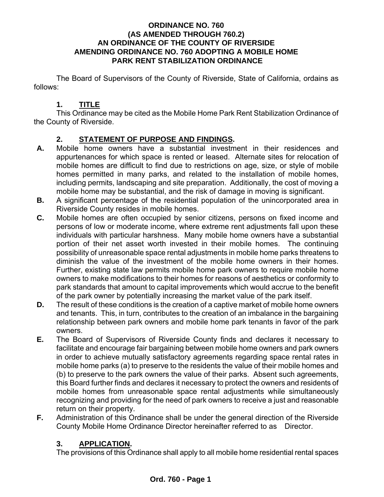#### **ORDINANCE NO. 760 (AS AMENDED THROUGH 760.2) AN ORDINANCE OF THE COUNTY OF RIVERSIDE AMENDING ORDINANCE NO. 760 ADOPTING A MOBILE HOME PARK RENT STABILIZATION ORDINANCE**

The Board of Supervisors of the County of Riverside, State of California, ordains as follows:

#### **1. TITLE**

This Ordinance may be cited as the Mobile Home Park Rent Stabilization Ordinance of the County of Riverside.

#### **2. STATEMENT OF PURPOSE AND FINDINGS.**

- **A.** Mobile home owners have a substantial investment in their residences and appurtenances for which space is rented or leased. Alternate sites for relocation of mobile homes are difficult to find due to restrictions on age, size, or style of mobile homes permitted in many parks, and related to the installation of mobile homes, including permits, landscaping and site preparation. Additionally, the cost of moving a mobile home may be substantial, and the risk of damage in moving is significant.
- **B.** A significant percentage of the residential population of the unincorporated area in Riverside County resides in mobile homes.
- **C.** Mobile homes are often occupied by senior citizens, persons on fixed income and persons of low or moderate income, where extreme rent adjustments fall upon these individuals with particular harshness. Many mobile home owners have a substantial portion of their net asset worth invested in their mobile homes. The continuing possibility of unreasonable space rental adjustments in mobile home parks threatens to diminish the value of the investment of the mobile home owners in their homes. Further, existing state law permits mobile home park owners to require mobile home owners to make modifications to their homes for reasons of aesthetics or conformity to park standards that amount to capital improvements which would accrue to the benefit of the park owner by potentially increasing the market value of the park itself.
- **D.** The result of these conditions is the creation of a captive market of mobile home owners and tenants. This, in turn, contributes to the creation of an imbalance in the bargaining relationship between park owners and mobile home park tenants in favor of the park owners.
- **E.** The Board of Supervisors of Riverside County finds and declares it necessary to facilitate and encourage fair bargaining between mobile home owners and park owners in order to achieve mutually satisfactory agreements regarding space rental rates in mobile home parks (a) to preserve to the residents the value of their mobile homes and (b) to preserve to the park owners the value of their parks. Absent such agreements, this Board further finds and declares it necessary to protect the owners and residents of mobile homes from unreasonable space rental adjustments while simultaneously recognizing and providing for the need of park owners to receive a just and reasonable return on their property.
- **F.** Administration of this Ordinance shall be under the general direction of the Riverside County Mobile Home Ordinance Director hereinafter referred to as Director.

#### **3. APPLICATION.**

The provisions of this Ordinance shall apply to all mobile home residential rental spaces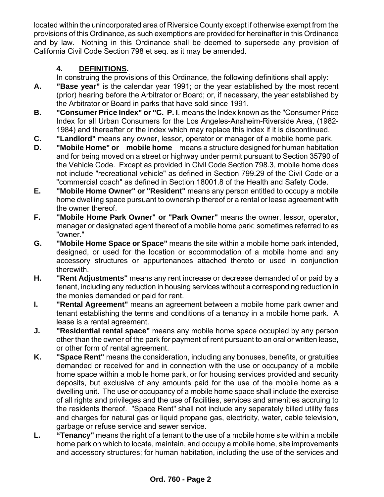located within the unincorporated area of Riverside County except if otherwise exempt from the provisions of this Ordinance, as such exemptions are provided for hereinafter in this Ordinance and by law. Nothing in this Ordinance shall be deemed to supersede any provision of California Civil Code Section 798 et seq. as it may be amended.

### **4. DEFINITIONS.**

In construing the provisions of this Ordinance, the following definitions shall apply:

- **A. "Base year"** is the calendar year 1991; or the year established by the most recent (prior) hearing before the Arbitrator or Board; or, if necessary, the year established by the Arbitrator or Board in parks that have sold since 1991.
- **B. "Consumer Price Index" or "C. P. I**. means the Index known as the "Consumer Price Index for all Urban Consumers for the Los Angeles-Anaheim-Riverside Area, (1982- 1984) and thereafter or the index which may replace this index if it is discontinued.
- **C. "Landlord"** means any owner, lessor, operator or manager of a mobile home park.
- **D. "Mobile Home" or mobile home** means a structure designed for human habitation and for being moved on a street or highway under permit pursuant to Section 35790 of the Vehicle Code. Except as provided in Civil Code Section 798.3, mobile home does not include "recreational vehicle" as defined in Section 799.29 of the Civil Code or a "commercial coach" as defined in Section 18001.8 of the Health and Safety Code.
- **E. "Mobile Home Owner" or "Resident"** means any person entitled to occupy a mobile home dwelling space pursuant to ownership thereof or a rental or lease agreement with the owner thereof.
- **F. "Mobile Home Park Owner" or "Park Owner"** means the owner, lessor, operator, manager or designated agent thereof of a mobile home park; sometimes referred to as "owner."
- **G. "Mobile Home Space or Space"** means the site within a mobile home park intended, designed, or used for the location or accommodation of a mobile home and any accessory structures or appurtenances attached thereto or used in conjunction therewith.
- **H. "Rent Adjustments"** means any rent increase or decrease demanded of or paid by a tenant, including any reduction in housing services without a corresponding reduction in the monies demanded or paid for rent.
- **I. "Rental Agreement"** means an agreement between a mobile home park owner and tenant establishing the terms and conditions of a tenancy in a mobile home park. A lease is a rental agreement.
- **J. "Residential rental space"** means any mobile home space occupied by any person other than the owner of the park for payment of rent pursuant to an oral or written lease, or other form of rental agreement.
- **K. "Space Rent"** means the consideration, including any bonuses, benefits, or gratuities demanded or received for and in connection with the use or occupancy of a mobile home space within a mobile home park, or for housing services provided and security deposits, but exclusive of any amounts paid for the use of the mobile home as a dwelling unit. The use or occupancy of a mobile home space shall include the exercise of all rights and privileges and the use of facilities, services and amenities accruing to the residents thereof. "Space Rent" shall not include any separately billed utility fees and charges for natural gas or liquid propane gas, electricity, water, cable television, garbage or refuse service and sewer service.
- **L. "Tenancy"** means the right of a tenant to the use of a mobile home site within a mobile home park on which to locate, maintain, and occupy a mobile home, site improvements and accessory structures; for human habitation, including the use of the services and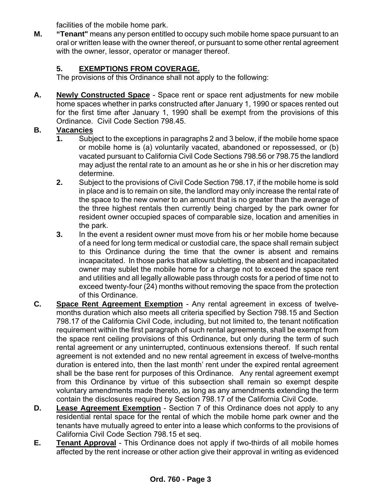facilities of the mobile home park.

**M. "Tenant"** means any person entitled to occupy such mobile home space pursuant to an oral or written lease with the owner thereof, or pursuant to some other rental agreement with the owner, lessor, operator or manager thereof.

## **5. EXEMPTIONS FROM COVERAGE.**

The provisions of this Ordinance shall not apply to the following:

**A. Newly Constructed Space** - Space rent or space rent adjustments for new mobile home spaces whether in parks constructed after January 1, 1990 or spaces rented out for the first time after January 1, 1990 shall be exempt from the provisions of this Ordinance. Civil Code Section 798.45.

#### **B. Vacancies**

- **1.** Subject to the exceptions in paragraphs 2 and 3 below, if the mobile home space or mobile home is (a) voluntarily vacated, abandoned or repossessed, or (b) vacated pursuant to California Civil Code Sections 798.56 or 798.75 the landlord may adjust the rental rate to an amount as he or she in his or her discretion may determine.
- **2.** Subject to the provisions of Civil Code Section 798.17, if the mobile home is sold in place and is to remain on site, the landlord may only increase the rental rate of the space to the new owner to an amount that is no greater than the average of the three highest rentals then currently being charged by the park owner for resident owner occupied spaces of comparable size, location and amenities in the park.
- **3.** In the event a resident owner must move from his or her mobile home because of a need for long term medical or custodial care, the space shall remain subject to this Ordinance during the time that the owner is absent and remains incapacitated. In those parks that allow subletting, the absent and incapacitated owner may sublet the mobile home for a charge not to exceed the space rent and utilities and all legally allowable pass through costs for a period of time not to exceed twenty-four (24) months without removing the space from the protection of this Ordinance.
- **C. Space Rent Agreement Exemption** Any rental agreement in excess of twelvemonths duration which also meets all criteria specified by Section 798.15 and Section 798.17 of the California Civil Code, including, but not limited to, the tenant notification requirement within the first paragraph of such rental agreements, shall be exempt from the space rent ceiling provisions of this Ordinance, but only during the term of such rental agreement or any uninterrupted, continuous extensions thereof. If such rental agreement is not extended and no new rental agreement in excess of twelve-months duration is entered into, then the last month' rent under the expired rental agreement shall be the base rent for purposes of this Ordinance. Any rental agreement exempt from this Ordinance by virtue of this subsection shall remain so exempt despite voluntary amendments made thereto, as long as any amendments extending the term contain the disclosures required by Section 798.17 of the California Civil Code.
- **D.** Lease Agreement Exemption Section 7 of this Ordinance does not apply to any residential rental space for the rental of which the mobile home park owner and the tenants have mutually agreed to enter into a lease which conforms to the provisions of California Civil Code Section 798.15 et seq.
- **E. Tenant Approval** This Ordinance does not apply if two-thirds of all mobile homes affected by the rent increase or other action give their approval in writing as evidenced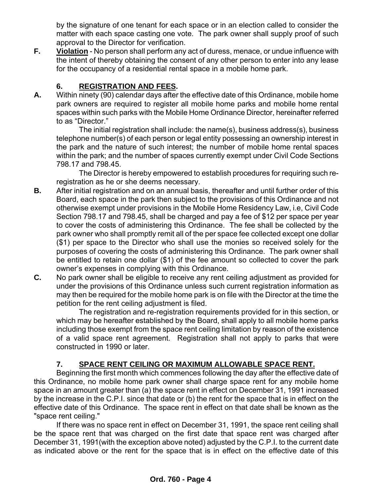by the signature of one tenant for each space or in an election called to consider the matter with each space casting one vote. The park owner shall supply proof of such approval to the Director for verification.

**F.** Violation - No person shall perform any act of duress, menace, or undue influence with the intent of thereby obtaining the consent of any other person to enter into any lease for the occupancy of a residential rental space in a mobile home park.

#### **6. REGISTRATION AND FEES.**

**A.** Within ninety (90) calendar days after the effective date of this Ordinance, mobile home park owners are required to register all mobile home parks and mobile home rental spaces within such parks with the Mobile Home Ordinance Director, hereinafter referred to as "Director."

The initial registration shall include: the name(s), business address(s), business telephone number(s) of each person or legal entity possessing an ownership interest in the park and the nature of such interest; the number of mobile home rental spaces within the park; and the number of spaces currently exempt under Civil Code Sections 798.17 and 798.45.

The Director is hereby empowered to establish procedures for requiring such reregistration as he or she deems necessary.

- **B.** After initial registration and on an annual basis, thereafter and until further order of this Board, each space in the park then subject to the provisions of this Ordinance and not otherwise exempt under provisions in the Mobile Home Residency Law, i.e, Civil Code Section 798.17 and 798.45, shall be charged and pay a fee of \$12 per space per year to cover the costs of administering this Ordinance. The fee shall be collected by the park owner who shall promptly remit all of the per space fee collected except one dollar (\$1) per space to the Director who shall use the monies so received solely for the purposes of covering the costs of administering this Ordinance. The park owner shall be entitled to retain one dollar (\$1) of the fee amount so collected to cover the park owner's expenses in complying with this Ordinance.
- **C.** No park owner shall be eligible to receive any rent ceiling adjustment as provided for under the provisions of this Ordinance unless such current registration information as may then be required for the mobile home park is on file with the Director at the time the petition for the rent ceiling adjustment is filed.

 The registration and re-registration requirements provided for in this section, or which may be hereafter established by the Board, shall apply to all mobile home parks including those exempt from the space rent ceiling limitation by reason of the existence of a valid space rent agreement. Registration shall not apply to parks that were constructed in 1990 or later.

## **7. SPACE RENT CEILING OR MAXIMUM ALLOWABLE SPACE RENT.**

Beginning the first month which commences following the day after the effective date of this Ordinance, no mobile home park owner shall charge space rent for any mobile home space in an amount greater than (a) the space rent in effect on December 31, 1991 increased by the increase in the C.P.I. since that date or (b) the rent for the space that is in effect on the effective date of this Ordinance. The space rent in effect on that date shall be known as the "space rent ceiling."

If there was no space rent in effect on December 31, 1991, the space rent ceiling shall be the space rent that was charged on the first date that space rent was charged after December 31, 1991(with the exception above noted) adjusted by the C.P.I. to the current date as indicated above or the rent for the space that is in effect on the effective date of this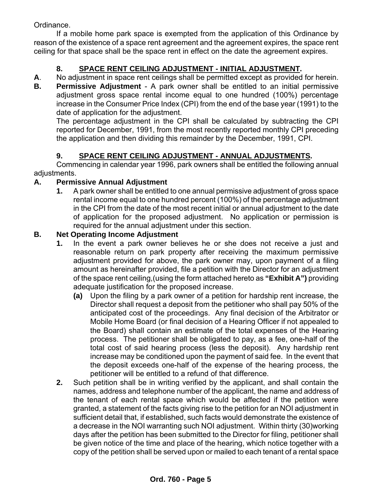Ordinance.

If a mobile home park space is exempted from the application of this Ordinance by reason of the existence of a space rent agreement and the agreement expires, the space rent ceiling for that space shall be the space rent in effect on the date the agreement expires.

### **8. SPACE RENT CEILING ADJUSTMENT - INITIAL ADJUSTMENT.**

**A**. No adjustment in space rent ceilings shall be permitted except as provided for herein.

**B.** Permissive Adjustment - A park owner shall be entitled to an initial permissive adjustment gross space rental income equal to one hundred (100%) percentage increase in the Consumer Price Index (CPI) from the end of the base year (1991) to the date of application for the adjustment.

 The percentage adjustment in the CPI shall be calculated by subtracting the CPI reported for December, 1991, from the most recently reported monthly CPI preceding the application and then dividing this remainder by the December, 1991, CPI.

#### **9. SPACE RENT CEILING ADJUSTMENT - ANNUAL ADJUSTMENTS.**

Commencing in calendar year 1996, park owners shall be entitled the following annual adjustments.

#### **A. Permissive Annual Adjustment**

 **1.** A park owner shall be entitled to one annual permissive adjustment of gross space rental income equal to one hundred percent (100%) of the percentage adjustment in the CPI from the date of the most recent initial or annual adjustment to the date of application for the proposed adjustment. No application or permission is required for the annual adjustment under this section.

#### **B. Net Operating Income Adjustment**

- **1.** In the event a park owner believes he or she does not receive a just and reasonable return on park property after receiving the maximum permissive adjustment provided for above, the park owner may, upon payment of a filing amount as hereinafter provided, file a petition with the Director for an adjustment of the space rent ceiling,(using the form attached hereto as **"Exhibit A")** providing adequate justification for the proposed increase.
	- **(a)** Upon the filing by a park owner of a petition for hardship rent increase, the Director shall request a deposit from the petitioner who shall pay 50% of the anticipated cost of the proceedings. Any final decision of the Arbitrator or Mobile Home Board (or final decision of a Hearing Officer if not appealed to the Board) shall contain an estimate of the total expenses of the Hearing process. The petitioner shall be obligated to pay, as a fee, one-half of the total cost of said hearing process (less the deposit). Any hardship rent increase may be conditioned upon the payment of said fee. In the event that the deposit exceeds one-half of the expense of the hearing process, the petitioner will be entitled to a refund of that difference.
- **2.** Such petition shall be in writing verified by the applicant, and shall contain the names, address and telephone number of the applicant, the name and address of the tenant of each rental space which would be affected if the petition were granted, a statement of the facts giving rise to the petition for an NOI adjustment in sufficient detail that, if established, such facts would demonstrate the existence of a decrease in the NOI warranting such NOI adjustment. Within thirty (30)working days after the petition has been submitted to the Director for filing, petitioner shall be given notice of the time and place of the hearing, which notice together with a copy of the petition shall be served upon or mailed to each tenant of a rental space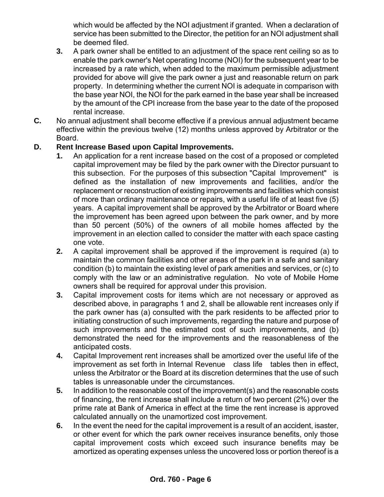which would be affected by the NOI adjustment if granted. When a declaration of service has been submitted to the Director, the petition for an NOI adjustment shall be deemed filed.

- **3.** A park owner shall be entitled to an adjustment of the space rent ceiling so as to enable the park owner's Net operating Income (NOI) for the subsequent year to be increased by a rate which, when added to the maximum permissible adjustment provided for above will give the park owner a just and reasonable return on park property. In determining whether the current NOI is adequate in comparison with the base year NOI, the NOI for the park earned in the base year shall be increased by the amount of the CPI increase from the base year to the date of the proposed rental increase.
- **C.** No annual adjustment shall become effective if a previous annual adjustment became effective within the previous twelve (12) months unless approved by Arbitrator or the Board.

#### **D. Rent Increase Based upon Capital Improvements.**

- **1.** An application for a rent increase based on the cost of a proposed or completed capital improvement may be filed by the park owner with the Director pursuant to this subsection. For the purposes of this subsection "Capital Improvement" is defined as the installation of new improvements and facilities, and/or the replacement or reconstruction of existing improvements and facilities which consist of more than ordinary maintenance or repairs, with a useful life of at least five (5) years. A capital improvement shall be approved by the Arbitrator or Board where the improvement has been agreed upon between the park owner, and by more than 50 percent (50%) of the owners of all mobile homes affected by the improvement in an election called to consider the matter with each space casting one vote.
- **2.** A capital improvement shall be approved if the improvement is required (a) to maintain the common facilities and other areas of the park in a safe and sanitary condition (b) to maintain the existing level of park amenities and services, or (c) to comply with the law or an administrative regulation. No vote of Mobile Home owners shall be required for approval under this provision.
- **3.** Capital improvement costs for items which are not necessary or approved as described above, in paragraphs 1 and 2, shall be allowable rent increases only if the park owner has (a) consulted with the park residents to be affected prior to initiating construction of such improvements, regarding the nature and purpose of such improvements and the estimated cost of such improvements, and (b) demonstrated the need for the improvements and the reasonableness of the anticipated costs.
- **4.** Capital Improvement rent increases shall be amortized over the useful life of the improvement as set forth in Internal Revenue class life tables then in effect, unless the Arbitrator or the Board at its discretion determines that the use of such tables is unreasonable under the circumstances.
- **5.** In addition to the reasonable cost of the improvement(s) and the reasonable costs of financing, the rent increase shall include a return of two percent (2%) over the prime rate at Bank of America in effect at the time the rent increase is approved calculated annually on the unamortized cost improvement.
- **6.** In the event the need for the capital improvement is a result of an accident, isaster, or other event for which the park owner receives insurance benefits, only those capital improvement costs which exceed such insurance benefits may be amortized as operating expenses unless the uncovered loss or portion thereof is a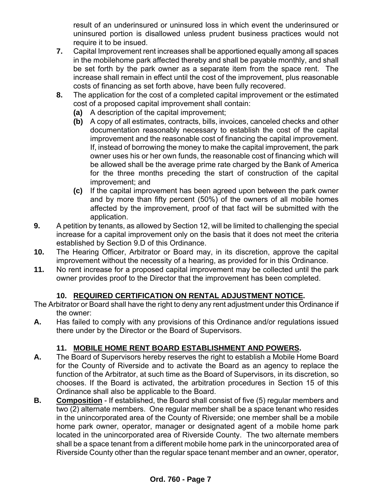result of an underinsured or uninsured loss in which event the underinsured or uninsured portion is disallowed unless prudent business practices would not require it to be insued.

- **7.** Capital Improvement rent increases shall be apportioned equally among all spaces in the mobilehome park affected thereby and shall be payable monthly, and shall be set forth by the park owner as a separate item from the space rent. The increase shall remain in effect until the cost of the improvement, plus reasonable costs of financing as set forth above, have been fully recovered.
- **8.** The application for the cost of a completed capital improvement or the estimated cost of a proposed capital improvement shall contain:
	- **(a)** A description of the capital improvement;
	- **(b)** A copy of all estimates, contracts, bills, invoices, canceled checks and other documentation reasonably necessary to establish the cost of the capital improvement and the reasonable cost of financing the capital improvement. If, instead of borrowing the money to make the capital improvement, the park owner uses his or her own funds, the reasonable cost of financing which will be allowed shall be the average prime rate charged by the Bank of America for the three months preceding the start of construction of the capital improvement; and
	- **(c)** If the capital improvement has been agreed upon between the park owner and by more than fifty percent (50%) of the owners of all mobile homes affected by the improvement, proof of that fact will be submitted with the application.
- **9.** A petition by tenants, as allowed by Section 12, will be limited to challenging the special increase for a capital improvement only on the basis that it does not meet the criteria established by Section 9.D of this Ordinance.
- **10.** The Hearing Officer, Arbitrator or Board may, in its discretion, approve the capital improvement without the necessity of a hearing, as provided for in this Ordinance.
- **11.** No rent increase for a proposed capital improvement may be collected until the park owner provides proof to the Director that the improvement has been completed.

#### **10. REQUIRED CERTIFICATION ON RENTAL ADJUSTMENT NOTICE.**

The Arbitrator or Board shall have the right to deny any rent adjustment under this Ordinance if the owner:

**A.** Has failed to comply with any provisions of this Ordinance and/or regulations issued there under by the Director or the Board of Supervisors.

#### **11. MOBILE HOME RENT BOARD ESTABLISHMENT AND POWERS.**

- **A.** The Board of Supervisors hereby reserves the right to establish a Mobile Home Board for the County of Riverside and to activate the Board as an agency to replace the function of the Arbitrator, at such time as the Board of Supervisors, in its discretion, so chooses. If the Board is activated, the arbitration procedures in Section 15 of this Ordinance shall also be applicable to the Board.
- **B. Composition** If established, the Board shall consist of five (5) regular members and two (2) alternate members. One regular member shall be a space tenant who resides in the unincorporated area of the County of Riverside; one member shall be a mobile home park owner, operator, manager or designated agent of a mobile home park located in the unincorporated area of Riverside County. The two alternate members shall be a space tenant from a different mobile home park in the unincorporated area of Riverside County other than the regular space tenant member and an owner, operator,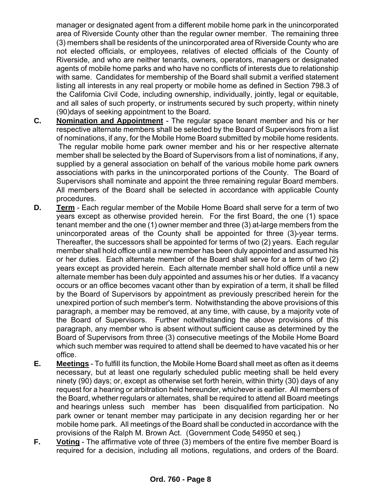manager or designated agent from a different mobile home park in the unincorporated area of Riverside County other than the regular owner member. The remaining three (3) members shall be residents of the unincorporated area of Riverside County who are not elected officials, or employees, relatives of elected officials of the County of Riverside, and who are neither tenants, owners, operators, managers or designated agents of mobile home parks and who have no conflicts of interests due to relationship with same. Candidates for membership of the Board shall submit a verified statement listing all interests in any real property or mobile home as defined in Section 798.3 of the California Civil Code, including ownership, individually, jointly, legal or equitable, and all sales of such property, or instruments secured by such property, within ninety (90)days of seeking appointment to the Board.

- **C. Nomination and Appointment** The regular space tenant member and his or her respective alternate members shall be selected by the Board of Supervisors from a list of nominations, if any, for the Mobile Home Board submitted by mobile home residents. The regular mobile home park owner member and his or her respective alternate member shall be selected by the Board of Supervisors from a list of nominations, if any, supplied by a general association on behalf of the various mobile home park owners associations with parks in the unincorporated portions of the County. The Board of Supervisors shall nominate and appoint the three remaining regular Board members. All members of the Board shall be selected in accordance with applicable County procedures.
- **D.** Term Each regular member of the Mobile Home Board shall serve for a term of two years except as otherwise provided herein. For the first Board, the one (1) space tenant member and the one (1) owner member and three (3) at-large members from the unincorporated areas of the County shall be appointed for three (3)-year terms. Thereafter, the successors shall be appointed for terms of two (2) years. Each regular member shall hold office until a new member has been duly appointed and assumed his or her duties. Each alternate member of the Board shall serve for a term of two (2) years except as provided herein. Each alternate member shall hold office until a new alternate member has been duly appointed and assumes his or her duties. If a vacancy occurs or an office becomes vacant other than by expiration of a term, it shall be filled by the Board of Supervisors by appointment as previously prescribed herein for the unexpired portion of such member's term. Notwithstanding the above provisions of this paragraph, a member may be removed, at any time, with cause, by a majority vote of the Board of Supervisors. Further notwithstanding the above provisions of this paragraph, any member who is absent without sufficient cause as determined by the Board of Supervisors from three (3) consecutive meetings of the Mobile Home Board which such member was required to attend shall be deemed to have vacated his or her office.
- **E. Meetings** To fulfill its function, the Mobile Home Board shall meet as often as it deems necessary, but at least one regularly scheduled public meeting shall be held every ninety (90) days; or, except as otherwise set forth herein, within thirty (30) days of any request for a hearing or arbitration held hereunder, whichever is earlier. All members of the Board, whether regulars or alternates, shall be required to attend all Board meetings and hearings unless such member has been disqualified from participation. No park owner or tenant member may participate in any decision regarding her or her mobile home park. All meetings of the Board shall be conducted in accordance with the provisions of the Ralph M. Brown Act. (Government Code 54950 et seq.)
- **F.** Voting The affirmative vote of three (3) members of the entire five member Board is required for a decision, including all motions, regulations, and orders of the Board.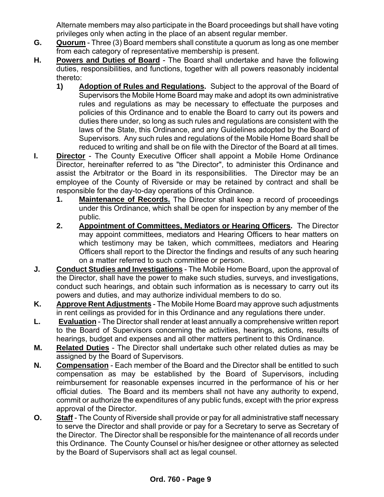Alternate members may also participate in the Board proceedings but shall have voting privileges only when acting in the place of an absent regular member.

- **G. Quorum** Three (3) Board members shall constitute a quorum as long as one member from each category of representative membership is present.
- **H. Powers and Duties of Board** The Board shall undertake and have the following duties, responsibilities, and functions, together with all powers reasonably incidental thereto:
	- **1) Adoption of Rules and Regulations.** Subject to the approval of the Board of Supervisors the Mobile Home Board may make and adopt its own administrative rules and regulations as may be necessary to effectuate the purposes and policies of this Ordinance and to enable the Board to carry out its powers and duties there under, so long as such rules and regulations are consistent with the laws of the State, this Ordinance, and any Guidelines adopted by the Board of Supervisors. Any such rules and regulations of the Mobile Home Board shall be reduced to writing and shall be on file with the Director of the Board at all times.
- **I. Director** The County Executive Officer shall appoint a Mobile Home Ordinance Director, hereinafter referred to as "the Director", to administer this Ordinance and assist the Arbitrator or the Board in its responsibilities. The Director may be an employee of the County of Riverside or may be retained by contract and shall be responsible for the day-to-day operations of this Ordinance.
	- **1. Maintenance of Records.** The Director shall keep a record of proceedings under this Ordinance, which shall be open for inspection by any member of the public.
	- **2. Appointment of Committees, Mediators or Hearing Officers.** The Director may appoint committees, mediators and Hearing Officers to hear matters on which testimony may be taken, which committees, mediators and Hearing Officers shall report to the Director the findings and results of any such hearing on a matter referred to such committee or person.
- **J. Conduct Studies and Investigations** The Mobile Home Board, upon the approval of the Director, shall have the power to make such studies, surveys, and investigations, conduct such hearings, and obtain such information as is necessary to carry out its powers and duties, and may authorize individual members to do so.
- **K. Approve Rent Adjustments** The Mobile Home Board may approve such adjustments in rent ceilings as provided for in this Ordinance and any regulations there under.
- **L. Evaluation** The Director shall render at least annually a comprehensive written report to the Board of Supervisors concerning the activities, hearings, actions, results of hearings, budget and expenses and all other matters pertinent to this Ordinance.
- **M. Related Duties** The Director shall undertake such other related duties as may be assigned by the Board of Supervisors.
- **N. Compensation** Each member of the Board and the Director shall be entitled to such compensation as may be established by the Board of Supervisors, including reimbursement for reasonable expenses incurred in the performance of his or her official duties. The Board and its members shall not have any authority to expend, commit or authorize the expenditures of any public funds, except with the prior express approval of the Director.
- **O.** Staff The County of Riverside shall provide or pay for all administrative staff necessary to serve the Director and shall provide or pay for a Secretary to serve as Secretary of the Director. The Director shall be responsible for the maintenance of all records under this Ordinance. The County Counsel or his/her designee or other attorney as selected by the Board of Supervisors shall act as legal counsel.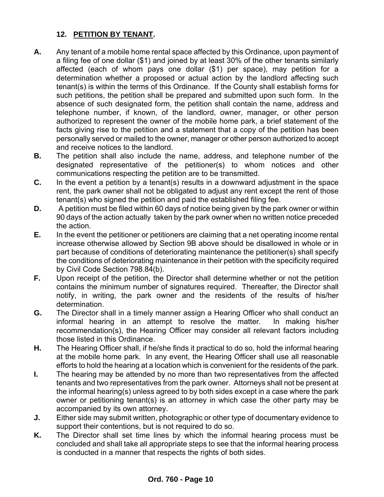#### **12. PETITION BY TENANT.**

- **A.** Any tenant of a mobile home rental space affected by this Ordinance, upon payment of a filing fee of one dollar (\$1) and joined by at least 30% of the other tenants similarly affected (each of whom pays one dollar (\$1) per space), may petition for a determination whether a proposed or actual action by the landlord affecting such tenant(s) is within the terms of this Ordinance. If the County shall establish forms for such petitions, the petition shall be prepared and submitted upon such form. In the absence of such designated form, the petition shall contain the name, address and telephone number, if known, of the landlord, owner, manager, or other person authorized to represent the owner of the mobile home park, a brief statement of the facts giving rise to the petition and a statement that a copy of the petition has been personally served or mailed to the owner, manager or other person authorized to accept and receive notices to the landlord.
- **B.** The petition shall also include the name, address, and telephone number of the designated representative of the petitioner(s) to whom notices and other communications respecting the petition are to be transmitted.
- **C.** In the event a petition by a tenant(s) results in a downward adjustment in the space rent, the park owner shall not be obligated to adjust any rent except the rent of those tenant(s) who signed the petition and paid the established filing fee.
- **D.** A petition must be filed within 60 days of notice being given by the park owner or within 90 days of the action actually taken by the park owner when no written notice preceded the action.
- **E.** In the event the petitioner or petitioners are claiming that a net operating income rental increase otherwise allowed by Section 9B above should be disallowed in whole or in part because of conditions of deteriorating maintenance the petitioner(s) shall specify the conditions of deteriorating maintenance in their petition with the specificity required by Civil Code Section 798.84(b).
- **F.** Upon receipt of the petition, the Director shall determine whether or not the petition contains the minimum number of signatures required. Thereafter, the Director shall notify, in writing, the park owner and the residents of the results of his/her determination.
- **G.** The Director shall in a timely manner assign a Hearing Officer who shall conduct an informal hearing in an attempt to resolve the matter. In making his/her recommendation(s), the Hearing Officer may consider all relevant factors including those listed in this Ordinance.
- **H.** The Hearing Officer shall, if he/she finds it practical to do so, hold the informal hearing at the mobile home park. In any event, the Hearing Officer shall use all reasonable efforts to hold the hearing at a location which is convenient for the residents of the park.
- **I.** The hearing may be attended by no more than two representatives from the affected tenants and two representatives from the park owner. Attorneys shall not be present at the informal hearing(s) unless agreed to by both sides except in a case where the park owner or petitioning tenant(s) is an attorney in which case the other party may be accompanied by its own attorney.
- **J.** Either side may submit written, photographic or other type of documentary evidence to support their contentions, but is not required to do so.
- **K.** The Director shall set time lines by which the informal hearing process must be concluded and shall take all appropriate steps to see that the informal hearing process is conducted in a manner that respects the rights of both sides.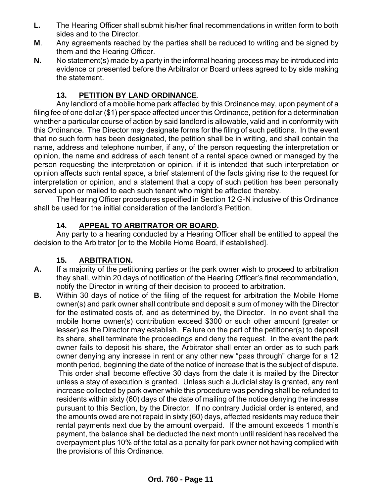- **L.** The Hearing Officer shall submit his/her final recommendations in written form to both sides and to the Director.
- **M**. Any agreements reached by the parties shall be reduced to writing and be signed by them and the Hearing Officer.
- **N.** No statement(s) made by a party in the informal hearing process may be introduced into evidence or presented before the Arbitrator or Board unless agreed to by side making the statement.

#### **13. PETITION BY LAND ORDINANCE**.

Any landlord of a mobile home park affected by this Ordinance may, upon payment of a filing fee of one dollar (\$1) per space affected under this Ordinance, petition for a determination whether a particular course of action by said landlord is allowable, valid and in conformity with this Ordinance. The Director may designate forms for the filing of such petitions. In the event that no such form has been designated, the petition shall be in writing, and shall contain the name, address and telephone number, if any, of the person requesting the interpretation or opinion, the name and address of each tenant of a rental space owned or managed by the person requesting the interpretation or opinion, if it is intended that such interpretation or opinion affects such rental space, a brief statement of the facts giving rise to the request for interpretation or opinion, and a statement that a copy of such petition has been personally served upon or mailed to each such tenant who might be affected thereby.

The Hearing Officer procedures specified in Section 12 G-N inclusive of this Ordinance shall be used for the initial consideration of the landlord's Petition.

#### **14. APPEAL TO ARBITRATOR OR BOARD.**

Any party to a hearing conducted by a Hearing Officer shall be entitled to appeal the decision to the Arbitrator [or to the Mobile Home Board, if established].

#### **15. ARBITRATION.**

- **A.** If a majority of the petitioning parties or the park owner wish to proceed to arbitration they shall, within 20 days of notification of the Hearing Officer's final recommendation, notify the Director in writing of their decision to proceed to arbitration.
- **B.** Within 30 days of notice of the filing of the request for arbitration the Mobile Home owner(s) and park owner shall contribute and deposit a sum of money with the Director for the estimated costs of, and as determined by, the Director. In no event shall the mobile home owner(s) contribution exceed \$300 or such other amount (greater or lesser) as the Director may establish. Failure on the part of the petitioner(s) to deposit its share, shall terminate the proceedings and deny the request. In the event the park owner fails to deposit his share, the Arbitrator shall enter an order as to such park owner denying any increase in rent or any other new "pass through" charge for a 12 month period, beginning the date of the notice of increase that is the subject of dispute. This order shall become effective 30 days from the date it is mailed by the Director unless a stay of execution is granted. Unless such a Judicial stay is granted, any rent increase collected by park owner while this procedure was pending shall be refunded to residents within sixty (60) days of the date of mailing of the notice denying the increase pursuant to this Section, by the Director. If no contrary Judicial order is entered, and the amounts owed are not repaid in sixty (60) days, affected residents may reduce their rental payments next due by the amount overpaid. If the amount exceeds 1 month's payment, the balance shall be deducted the next month until resident has received the overpayment plus 10% of the total as a penalty for park owner not having complied with the provisions of this Ordinance.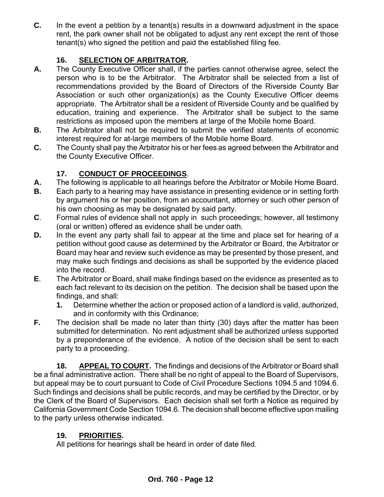**C.** In the event a petition by a tenant(s) results in a downward adjustment in the space rent, the park owner shall not be obligated to adjust any rent except the rent of those tenant(s) who signed the petition and paid the established filing fee.

#### **16. SELECTION OF ARBITRATOR.**

- **A.** The County Executive Officer shall, if the parties cannot otherwise agree, select the person who is to be the Arbitrator. The Arbitrator shall be selected from a list of recommendations provided by the Board of Directors of the Riverside County Bar Association or such other organization(s) as the County Executive Officer deems appropriate. The Arbitrator shall be a resident of Riverside County and be qualified by education, training and experience. The Arbitrator shall be subject to the same restrictions as imposed upon the members at large of the Mobile home Board.
- **B.** The Arbitrator shall not be required to submit the verified statements of economic interest required for at-large members of the Mobile home Board.
- **C.** The County shall pay the Arbitrator his or her fees as agreed between the Arbitrator and the County Executive Officer.

#### **17. CONDUCT OF PROCEEDINGS**.

- **A.** The following is applicable to all hearings before the Arbitrator or Mobile Home Board.
- **B.** Each party to a hearing may have assistance in presenting evidence or in setting forth by argument his or her position, from an accountant, attorney or such other person of his own choosing as may be designated by said party.
- **C**. Formal rules of evidence shall not apply in such proceedings; however, all testimony (oral or written) offered as evidence shall be under oath.
- **D.** In the event any party shall fail to appear at the time and place set for hearing of a petition without good cause as determined by the Arbitrator or Board, the Arbitrator or Board may hear and review such evidence as may be presented by those present, and may make such findings and decisions as shall be supported by the evidence placed into the record.
- **E**. The Arbitrator or Board, shall make findings based on the evidence as presented as to each fact relevant to its decision on the petition. The decision shall be based upon the findings, and shall:
	- **1.** Determine whether the action or proposed action of a landlord is valid, authorized, and in conformity with this Ordinance;
- **F.** The decision shall be made no later than thirty (30) days after the matter has been submitted for determination. No rent adjustment shall be authorized unless supported by a preponderance of the evidence. A notice of the decision shall be sent to each party to a proceeding.

**18. APPEAL TO COURT.** The findings and decisions of the Arbitrator or Board shall be a final administrative action. There shall be no right of appeal to the Board of Supervisors, but appeal may be to court pursuant to Code of Civil Procedure Sections 1094.5 and 1094.6. Such findings and decisions shall be public records, and may be certified by the Director, or by the Clerk of the Board of Supervisors. Each decision shall set forth a Notice as required by California Government Code Section 1094.6. The decision shall become effective upon mailing to the party unless otherwise indicated.

#### **19. PRIORITIES.**

All petitions for hearings shall be heard in order of date filed.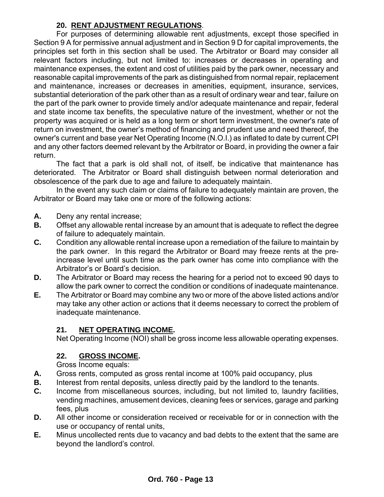#### **20. RENT ADJUSTMENT REGULATIONS**.

For purposes of determining allowable rent adjustments, except those specified in Section 9 A for permissive annual adjustment and in Section 9 D for capital improvements, the principles set forth in this section shall be used. The Arbitrator or Board may consider all relevant factors including, but not limited to: increases or decreases in operating and maintenance expenses, the extent and cost of utilities paid by the park owner, necessary and reasonable capital improvements of the park as distinguished from normal repair, replacement and maintenance, increases or decreases in amenities, equipment, insurance, services, substantial deterioration of the park other than as a result of ordinary wear and tear, failure on the part of the park owner to provide timely and/or adequate maintenance and repair, federal and state income tax benefits, the speculative nature of the investment, whether or not the property was acquired or is held as a long term or short term investment, the owner's rate of return on investment, the owner's method of financing and prudent use and need thereof, the owner's current and base year Net Operating Income (N.O.I.) as inflated to date by current CPI and any other factors deemed relevant by the Arbitrator or Board, in providing the owner a fair return.

The fact that a park is old shall not, of itself, be indicative that maintenance has deteriorated. The Arbitrator or Board shall distinguish between normal deterioration and obsolescence of the park due to age and failure to adequately maintain.

In the event any such claim or claims of failure to adequately maintain are proven, the Arbitrator or Board may take one or more of the following actions:

- **A.** Deny any rental increase;
- **B.** Offset any allowable rental increase by an amount that is adequate to reflect the degree of failure to adequately maintain.
- **C.** Condition any allowable rental increase upon a remediation of the failure to maintain by the park owner. In this regard the Arbitrator or Board may freeze rents at the preincrease level until such time as the park owner has come into compliance with the Arbitrator's or Board's decision.
- **D.** The Arbitrator or Board may recess the hearing for a period not to exceed 90 days to allow the park owner to correct the condition or conditions of inadequate maintenance.
- **E.** The Arbitrator or Board may combine any two or more of the above listed actions and/or may take any other action or actions that it deems necessary to correct the problem of inadequate maintenance.

#### **21. NET OPERATING INCOME.**

Net Operating Income (NOI) shall be gross income less allowable operating expenses.

#### **22. GROSS INCOME.**

Gross Income equals:

- **A.** Gross rents, computed as gross rental income at 100% paid occupancy, plus
- **B.** Interest from rental deposits, unless directly paid by the landlord to the tenants.
- **C.** Income from miscellaneous sources, including, but not limited to, laundry facilities, vending machines, amusement devices, cleaning fees or services, garage and parking fees, plus
- **D.** All other income or consideration received or receivable for or in connection with the use or occupancy of rental units,
- **E.** Minus uncollected rents due to vacancy and bad debts to the extent that the same are beyond the landlord's control.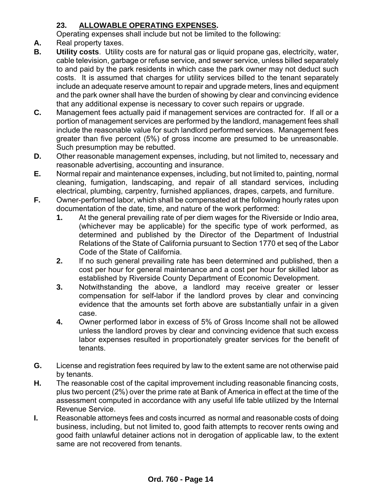## **23. ALLOWABLE OPERATING EXPENSES.**

Operating expenses shall include but not be limited to the following:

- **A.** Real property taxes.
- **B. Utility costs**. Utility costs are for natural gas or liquid propane gas, electricity, water, cable television, garbage or refuse service, and sewer service, unless billed separately to and paid by the park residents in which case the park owner may not deduct such costs. It is assumed that charges for utility services billed to the tenant separately include an adequate reserve amount to repair and upgrade meters, lines and equipment and the park owner shall have the burden of showing by clear and convincing evidence that any additional expense is necessary to cover such repairs or upgrade.
- **C.** Management fees actually paid if management services are contracted for. If all or a portion of management services are performed by the landlord, management fees shall include the reasonable value for such landlord performed services. Management fees greater than five percent (5%) of gross income are presumed to be unreasonable. Such presumption may be rebutted.
- **D.** Other reasonable management expenses, including, but not limited to, necessary and reasonable advertising, accounting and insurance.
- **E.** Normal repair and maintenance expenses, including, but not limited to, painting, normal cleaning, fumigation, landscaping, and repair of all standard services, including electrical, plumbing, carpentry, furnished appliances, drapes, carpets, and furniture.
- **F.** Owner-performed labor, which shall be compensated at the following hourly rates upon documentation of the date, time, and nature of the work performed:
	- **1.** At the general prevailing rate of per diem wages for the Riverside or Indio area, (whichever may be applicable) for the specific type of work performed, as determined and published by the Director of the Department of Industrial Relations of the State of California pursuant to Section 1770 et seq of the Labor Code of the State of California.
	- **2.** If no such general prevailing rate has been determined and published, then a cost per hour for general maintenance and a cost per hour for skilled labor as established by Riverside County Department of Economic Development.
	- **3.** Notwithstanding the above, a landlord may receive greater or lesser compensation for self-labor if the landlord proves by clear and convincing evidence that the amounts set forth above are substantially unfair in a given case.
	- **4.** Owner performed labor in excess of 5% of Gross Income shall not be allowed unless the landlord proves by clear and convincing evidence that such excess labor expenses resulted in proportionately greater services for the benefit of tenants.
- **G.** License and registration fees required by law to the extent same are not otherwise paid by tenants.
- **H.** The reasonable cost of the capital improvement including reasonable financing costs, plus two percent (2%) over the prime rate at Bank of America in effect at the time of the assessment computed in accordance with any useful life table utilized by the Internal Revenue Service.
- **I.** Reasonable attorneys fees and costs incurred as normal and reasonable costs of doing business, including, but not limited to, good faith attempts to recover rents owing and good faith unlawful detainer actions not in derogation of applicable law, to the extent same are not recovered from tenants.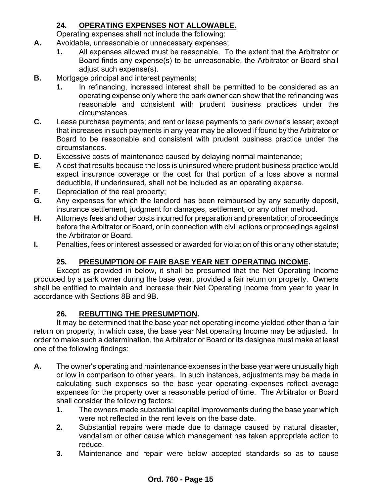### **24. OPERATING EXPENSES NOT ALLOWABLE.**

Operating expenses shall not include the following:

- **A.** Avoidable, unreasonable or unnecessary expenses;
	- **1.** All expenses allowed must be reasonable. To the extent that the Arbitrator or Board finds any expense(s) to be unreasonable, the Arbitrator or Board shall adjust such expense(s).
- **B.** Mortgage principal and interest payments;
	- **1.** In refinancing, increased interest shall be permitted to be considered as an operating expense only where the park owner can show that the refinancing was reasonable and consistent with prudent business practices under the circumstances.
- **C.** Lease purchase payments; and rent or lease payments to park owner's lesser; except that increases in such payments in any year may be allowed if found by the Arbitrator or Board to be reasonable and consistent with prudent business practice under the circumstances.
- **D.** Excessive costs of maintenance caused by delaying normal maintenance;
- **E.** A cost that results because the loss is uninsured where prudent business practice would expect insurance coverage or the cost for that portion of a loss above a normal deductible, if underinsured, shall not be included as an operating expense.
- **F**. Depreciation of the real property;
- **G.** Any expenses for which the landlord has been reimbursed by any security deposit, insurance settlement, judgment for damages, settlement, or any other method.
- **H.** Attorneys fees and other costs incurred for preparation and presentation of proceedings before the Arbitrator or Board, or in connection with civil actions or proceedings against the Arbitrator or Board.
- **I.** Penalties, fees or interest assessed or awarded for violation of this or any other statute;

#### **25. PRESUMPTION OF FAIR BASE YEAR NET OPERATING INCOME.**

Except as provided in below, it shall be presumed that the Net Operating Income produced by a park owner during the base year, provided a fair return on property. Owners shall be entitled to maintain and increase their Net Operating Income from year to year in accordance with Sections 8B and 9B.

#### **26. REBUTTING THE PRESUMPTION.**

It may be determined that the base year net operating income yielded other than a fair return on property, in which case, the base year Net operating Income may be adjusted. In order to make such a determination, the Arbitrator or Board or its designee must make at least one of the following findings:

- **A.** The owner's operating and maintenance expenses in the base year were unusually high or low in comparison to other years. In such instances, adjustments may be made in calculating such expenses so the base year operating expenses reflect average expenses for the property over a reasonable period of time. The Arbitrator or Board shall consider the following factors:
	- **1.** The owners made substantial capital improvements during the base year which were not reflected in the rent levels on the base date.
	- **2.** Substantial repairs were made due to damage caused by natural disaster, vandalism or other cause which management has taken appropriate action to reduce.
	- **3.** Maintenance and repair were below accepted standards so as to cause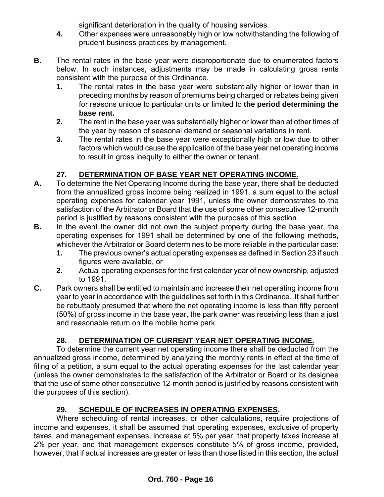significant deterioration in the quality of housing services.

- **4.** Other expenses were unreasonably high or low notwithstanding the following of prudent business practices by management.
- **B.** The rental rates in the base year were disproportionate due to enumerated factors below. In such instances, adjustments may be made in calculating gross rents consistent with the purpose of this Ordinance.
	- **1.** The rental rates in the base year were substantially higher or lower than in preceding months by reason of premiums being charged or rebates being given for reasons unique to particular units or limited to **the period determining the base rent.**
	- **2.** The rent in the base year was substantially higher or lower than at other times of the year by reason of seasonal demand or seasonal variations in rent.
	- **3.** The rental rates in the base year were exceptionally high or low due to other factors which would cause the application of the base year net operating income to result in gross inequity to either the owner or tenant.

## **27. DETERMINATION OF BASE YEAR NET OPERATING INCOME.**

- **A.** To determine the Net Operating Income during the base year, there shall be deducted from the annualized gross income being realized in 1991, a sum equal to the actual operating expenses for calendar year 1991, unless the owner demonstrates to the satisfaction of the Arbitrator or Board that the use of some other consecutive 12-month period is justified by reasons consistent with the purposes of this section.
- **B.** In the event the owner did not own the subject property during the base year, the operating expenses for 1991 shall be determined by one of the following methods, whichever the Arbitrator or Board determines to be more reliable in the particular case:
	- **1.** The previous owner's actual operating expenses as defined in Section 23 if such figures were available, or
	- **2.** Actual operating expenses for the first calendar year of new ownership, adjusted to 1991.
- **C.** Park owners shall be entitled to maintain and increase their net operating income from year to year in accordance with the guidelines set forth in this Ordinance. It shall further be rebuttably presumed that where the net operating income is less than fifty percent (50%) of gross income in the base year, the park owner was receiving less than a just and reasonable return on the mobile home park.

## **28. DETERMINATION OF CURRENT YEAR NET OPERATING INCOME.**

To determine the current year net operating income there shall be deducted from the annualized gross income, determined by analyzing the monthly rents in effect at the time of filing of a petition, a sum equal to the actual operating expenses for the last calendar year (unless the owner demonstrates to the satisfaction of the Arbitrator or Board or its designee that the use of some other consecutive 12-month period is justified by reasons consistent with the purposes of this section).

# **29. SCHEDULE OF INCREASES IN OPERATING EXPENSES.**

Where scheduling of rental increases, or other calculations, require projections of income and expenses, it shall be assumed that operating expenses, exclusive of property taxes, and management expenses, increase at 5% per year, that property taxes increase at 2% per year, and that management expenses constitute 5% of gross income, provided, however, that if actual increases are greater or less than those listed in this section, the actual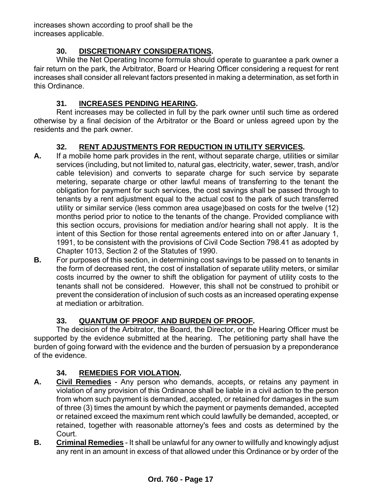increases shown according to proof shall be the increases applicable.

## **30. DISCRETIONARY CONSIDERATIONS.**

While the Net Operating Income formula should operate to guarantee a park owner a fair return on the park, the Arbitrator, Board or Hearing Officer considering a request for rent increases shall consider all relevant factors presented in making a determination, as set forth in this Ordinance.

#### **31. INCREASES PENDING HEARING.**

Rent increases may be collected in full by the park owner until such time as ordered otherwise by a final decision of the Arbitrator or the Board or unless agreed upon by the residents and the park owner.

#### **32. RENT ADJUSTMENTS FOR REDUCTION IN UTILITY SERVICES.**

- **A.** If a mobile home park provides in the rent, without separate charge, utilities or similar services (including, but not limited to, natural gas, electricity, water, sewer, trash, and/or cable television) and converts to separate charge for such service by separate metering, separate charge or other lawful means of transferring to the tenant the obligation for payment for such services, the cost savings shall be passed through to tenants by a rent adjustment equal to the actual cost to the park of such transferred utility or similar service (less common area usage)based on costs for the twelve (12) months period prior to notice to the tenants of the change. Provided compliance with this section occurs, provisions for mediation and/or hearing shall not apply. It is the intent of this Section for those rental agreements entered into on or after January 1, 1991, to be consistent with the provisions of Civil Code Section 798.41 as adopted by Chapter 1013, Section 2 of the Statutes of 1990.
- **B.** For purposes of this section, in determining cost savings to be passed on to tenants in the form of decreased rent, the cost of installation of separate utility meters, or similar costs incurred by the owner to shift the obligation for payment of utility costs to the tenants shall not be considered. However, this shall not be construed to prohibit or prevent the consideration of inclusion of such costs as an increased operating expense at mediation or arbitration.

#### **33. QUANTUM OF PROOF AND BURDEN OF PROOF.**

The decision of the Arbitrator, the Board, the Director, or the Hearing Officer must be supported by the evidence submitted at the hearing. The petitioning party shall have the burden of going forward with the evidence and the burden of persuasion by a preponderance of the evidence.

#### **34. REMEDIES FOR VIOLATION.**

- **A. Civil Remedies** Any person who demands, accepts, or retains any payment in violation of any provision of this Ordinance shall be liable in a civil action to the person from whom such payment is demanded, accepted, or retained for damages in the sum of three (3) times the amount by which the payment or payments demanded, accepted or retained exceed the maximum rent which could lawfully be demanded, accepted, or retained, together with reasonable attorney's fees and costs as determined by the Court.
- **B. Criminal Remedies** It shall be unlawful for any owner to willfully and knowingly adjust any rent in an amount in excess of that allowed under this Ordinance or by order of the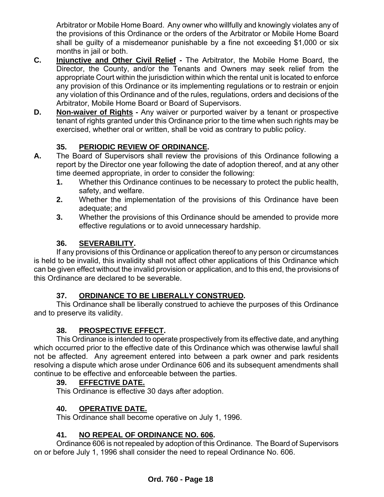Arbitrator or Mobile Home Board. Any owner who willfully and knowingly violates any of the provisions of this Ordinance or the orders of the Arbitrator or Mobile Home Board shall be guilty of a misdemeanor punishable by a fine not exceeding \$1,000 or six months in jail or both.

- **C. Injunctive and Other Civil Relief -** The Arbitrator, the Mobile Home Board, the Director, the County, and/or the Tenants and Owners may seek relief from the appropriate Court within the jurisdiction within which the rental unit is located to enforce any provision of this Ordinance or its implementing regulations or to restrain or enjoin any violation of this Ordinance and of the rules, regulations, orders and decisions of the Arbitrator, Mobile Home Board or Board of Supervisors.
- **D. Non-waiver of Rights -** Any waiver or purported waiver by a tenant or prospective tenant of rights granted under this Ordinance prior to the time when such rights may be exercised, whether oral or written, shall be void as contrary to public policy.

### **35. PERIODIC REVIEW OF ORDINANCE.**

- **A.** The Board of Supervisors shall review the provisions of this Ordinance following a report by the Director one year following the date of adoption thereof, and at any other time deemed appropriate, in order to consider the following:
	- **1.** Whether this Ordinance continues to be necessary to protect the public health, safety, and welfare.
	- **2.** Whether the implementation of the provisions of this Ordinance have been adequate; and
	- **3.** Whether the provisions of this Ordinance should be amended to provide more effective regulations or to avoid unnecessary hardship.

#### **36. SEVERABILITY.**

If any provisions of this Ordinance or application thereof to any person or circumstances is held to be invalid, this invalidity shall not affect other applications of this Ordinance which can be given effect without the invalid provision or application, and to this end, the provisions of this Ordinance are declared to be severable.

#### **37. ORDINANCE TO BE LIBERALLY CONSTRUED.**

This Ordinance shall be liberally construed to achieve the purposes of this Ordinance and to preserve its validity.

#### **38. PROSPECTIVE EFFECT.**

This Ordinance is intended to operate prospectively from its effective date, and anything which occurred prior to the effective date of this Ordinance which was otherwise lawful shall not be affected. Any agreement entered into between a park owner and park residents resolving a dispute which arose under Ordinance 606 and its subsequent amendments shall continue to be effective and enforceable between the parties.

#### **39. EFFECTIVE DATE.**

This Ordinance is effective 30 days after adoption.

#### **40. OPERATIVE DATE.**

This Ordinance shall become operative on July 1, 1996.

#### **41. NO REPEAL OF ORDINANCE NO. 606.**

Ordinance 606 is not repealed by adoption of this Ordinance. The Board of Supervisors on or before July 1, 1996 shall consider the need to repeal Ordinance No. 606.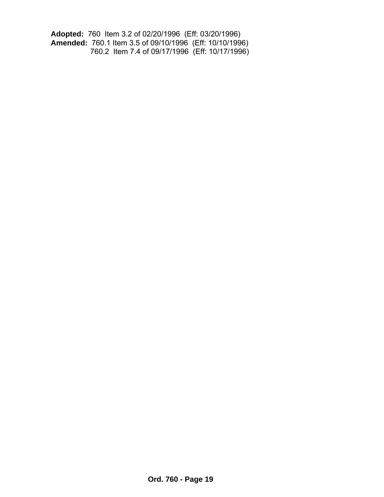**Adopted:** 760 Item 3.2 of 02/20/1996 (Eff: 03/20/1996) **Amended:** 760.1 Item 3.5 of 09/10/1996 (Eff: 10/10/1996) 760.2 Item 7.4 of 09/17/1996 (Eff: 10/17/1996)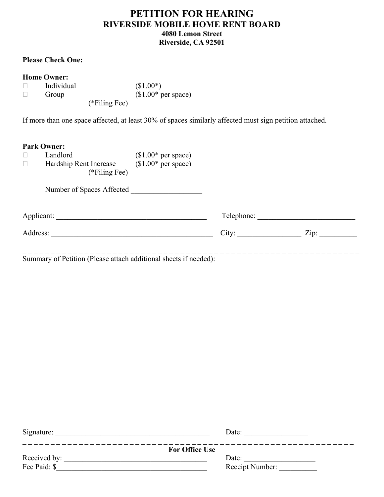#### **PETITION FOR HEARING RIVERSIDE MOBILE HOME RENT BOARD 4080 Lemon Street Riverside, CA 92501**

#### **Please Check One:**

| ------------- |                 | $\sqrt{4}$ .        |
|---------------|-----------------|---------------------|
| Group         |                 | $$1.00*$ per space) |
|               | $(*Filing Fee)$ |                     |

If more than one space affected, at least 30% of spaces similarly affected must sign petition attached.

 $(S1.00*)$ 

#### **Park Owner:**

| Landlord               | $$1.00*$ per space) |
|------------------------|---------------------|
| Hardship Rent Increase | $$1.00*$ per space) |
| (*Filing Fee)          |                     |

Number of Spaces Affected \_\_\_\_\_\_\_\_\_\_\_\_\_\_\_\_\_\_\_

Applicant: \_\_\_\_\_\_\_\_\_\_\_\_\_\_\_\_\_\_\_\_\_\_\_\_\_\_\_\_\_\_\_\_\_\_\_\_\_\_\_\_ Telephone: \_\_\_\_\_\_\_\_\_\_\_\_\_\_\_\_\_\_\_\_\_\_\_\_\_\_

Address: \_\_\_\_\_\_\_\_\_\_\_\_\_\_\_\_\_\_\_\_\_\_\_\_\_\_\_\_\_\_\_\_\_\_\_\_\_\_\_\_\_\_\_ City: \_\_\_\_\_\_\_\_\_\_\_\_\_\_\_\_\_ Zip: \_\_\_\_\_\_\_\_\_\_

\_ \_ \_ \_ \_ \_ \_ \_ \_ \_ \_ \_ \_ \_ \_ \_ \_ \_ \_ \_ \_ \_ \_ \_ \_ \_ \_ \_ \_ \_ \_ \_ \_ \_ \_ \_ \_ \_ \_ \_ \_ \_ \_ \_ \_ \_ \_ \_ \_ \_ \_ \_ \_ \_ \_ \_ \_ \_ \_ \_ Summary of Petition (Please attach additional sheets if needed):

| Signature:            | Date:           |
|-----------------------|-----------------|
| <b>For Office Use</b> |                 |
| Received by:          | Date:           |
| Fee Paid: \$          | Receipt Number: |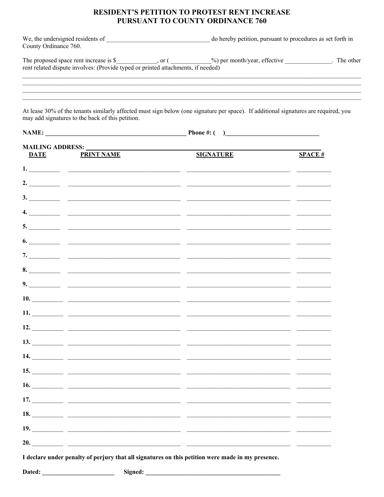#### RESIDENT'S PETITION TO PROTEST RENT INCREASE PURSUANT TO COUNTY ORDINANCE 760

| We, the undersigned residents of | do hereby petition, pursuant to procedures as set forth in |
|----------------------------------|------------------------------------------------------------|
| County Ordinance 760.            |                                                            |

| The proposed space rent increase is \$                                           | <sub>or</sub> | $\%$ ) per month/year, effective | The other |
|----------------------------------------------------------------------------------|---------------|----------------------------------|-----------|
| rent related dispute involves: (Provide typed or printed attachments, if needed) |               |                                  |           |

<u> 1989 - Johann Stoff, deutscher Stoff, der Stoff, der Stoff, der Stoff, der Stoff, der Stoff, der Stoff, der S</u>

At lease 30% of the tenants similarly affected must sign below (one signature per space). If additional signatures are required, you may add signatures to the back of this petition.

| <b>MAILING ADDRESS:</b><br>DATE | <b>PRINT NAME</b>                                                                                                                                                                                                              | <b>SIGNATURE</b>                                                                                                                                                                                                                                                                                                                                                                                                                              | SPACE# |
|---------------------------------|--------------------------------------------------------------------------------------------------------------------------------------------------------------------------------------------------------------------------------|-----------------------------------------------------------------------------------------------------------------------------------------------------------------------------------------------------------------------------------------------------------------------------------------------------------------------------------------------------------------------------------------------------------------------------------------------|--------|
|                                 |                                                                                                                                                                                                                                |                                                                                                                                                                                                                                                                                                                                                                                                                                               |        |
|                                 |                                                                                                                                                                                                                                |                                                                                                                                                                                                                                                                                                                                                                                                                                               |        |
|                                 |                                                                                                                                                                                                                                |                                                                                                                                                                                                                                                                                                                                                                                                                                               |        |
|                                 |                                                                                                                                                                                                                                | $\overline{a}$ . $\overline{a}$ $\overline{a}$ $\overline{a}$ $\overline{a}$ $\overline{a}$ $\overline{a}$ $\overline{a}$ $\overline{a}$ $\overline{a}$ $\overline{a}$ $\overline{a}$ $\overline{a}$ $\overline{a}$ $\overline{a}$ $\overline{a}$ $\overline{a}$ $\overline{a}$ $\overline{a}$ $\overline{a}$ $\overline{a}$ $\overline{a}$ $\overline{a}$ $\overline{a}$ $\overline$                                                         |        |
|                                 |                                                                                                                                                                                                                                |                                                                                                                                                                                                                                                                                                                                                                                                                                               |        |
|                                 |                                                                                                                                                                                                                                |                                                                                                                                                                                                                                                                                                                                                                                                                                               |        |
|                                 |                                                                                                                                                                                                                                |                                                                                                                                                                                                                                                                                                                                                                                                                                               |        |
|                                 |                                                                                                                                                                                                                                |                                                                                                                                                                                                                                                                                                                                                                                                                                               |        |
|                                 |                                                                                                                                                                                                                                | $\overline{\phantom{a}}$ , $\overline{\phantom{a}}$ , $\overline{\phantom{a}}$ , $\overline{\phantom{a}}$ , $\overline{\phantom{a}}$ , $\overline{\phantom{a}}$ , $\overline{\phantom{a}}$ , $\overline{\phantom{a}}$ , $\overline{\phantom{a}}$ , $\overline{\phantom{a}}$ , $\overline{\phantom{a}}$ , $\overline{\phantom{a}}$ , $\overline{\phantom{a}}$ , $\overline{\phantom{a}}$ , $\overline{\phantom{a}}$ , $\overline{\phantom{a}}$ |        |
|                                 |                                                                                                                                                                                                                                | $\frac{10.7}{2}$ and $\frac{10.7}{2}$ and $\frac{10.7}{2}$ and $\frac{10.7}{2}$ and $\frac{10.7}{2}$ and $\frac{10.7}{2}$ and $\frac{10.7}{2}$ and $\frac{10.7}{2}$ and $\frac{10.7}{2}$ and $\frac{10.7}{2}$ and $\frac{10.7}{2}$ and $\frac{10.7}{2}$ and $\frac{10.7}{2}$ and                                                                                                                                                              |        |
|                                 |                                                                                                                                                                                                                                |                                                                                                                                                                                                                                                                                                                                                                                                                                               |        |
|                                 |                                                                                                                                                                                                                                | 12. $\qquad \qquad$                                                                                                                                                                                                                                                                                                                                                                                                                           |        |
|                                 |                                                                                                                                                                                                                                | $\overline{13.}$ $\overline{\phantom{25.}0}$ $\overline{\phantom{25.}0}$ $\overline{\phantom{25.}0}$ $\overline{\phantom{25.}0}$ $\overline{\phantom{25.}0}$ $\overline{\phantom{25.}0}$ $\overline{\phantom{25.}0}$ $\overline{\phantom{25.}0}$ $\overline{\phantom{25.}0}$ $\overline{\phantom{25.}0}$ $\overline{\phantom{25.}0}$ $\overline{\phantom{25.}0}$ $\overline{\phantom{25.}0}$ $\$                                              |        |
|                                 |                                                                                                                                                                                                                                | $\frac{1}{4}$                                                                                                                                                                                                                                                                                                                                                                                                                                 |        |
|                                 |                                                                                                                                                                                                                                |                                                                                                                                                                                                                                                                                                                                                                                                                                               |        |
|                                 |                                                                                                                                                                                                                                |                                                                                                                                                                                                                                                                                                                                                                                                                                               |        |
|                                 |                                                                                                                                                                                                                                |                                                                                                                                                                                                                                                                                                                                                                                                                                               |        |
| 18.                             | <u> 1989 - Johann Stein, mars an deutscher Stein und der Stein und der Stein und der Stein und der Stein und der</u>                                                                                                           |                                                                                                                                                                                                                                                                                                                                                                                                                                               |        |
|                                 | 19. $\qquad \qquad$                                                                                                                                                                                                            |                                                                                                                                                                                                                                                                                                                                                                                                                                               |        |
|                                 |                                                                                                                                                                                                                                | 20. $\qquad \qquad$                                                                                                                                                                                                                                                                                                                                                                                                                           |        |
|                                 |                                                                                                                                                                                                                                | I declare under penalty of perjury that all signatures on this petition were made in my presence.                                                                                                                                                                                                                                                                                                                                             |        |
|                                 | Dated: The contract of the contract of the contract of the contract of the contract of the contract of the contract of the contract of the contract of the contract of the contract of the contract of the contract of the con |                                                                                                                                                                                                                                                                                                                                                                                                                                               |        |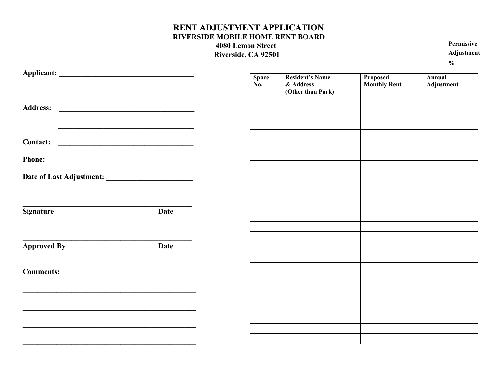#### **RENT ADJUSTMENT APPLICATION RIVERSIDE MOBILE HOME RENT BOARD 4080 Lemon Street Riverside, CA 92501**

| Permissive    |
|---------------|
| Adjustment    |
| $\frac{6}{6}$ |

|                                                                                                                                         | <b>Space</b><br>No. | <b>Resident's Name</b><br>& Address<br>(Other than Park) | Proposed<br><b>Monthly Rent</b> | Annual<br>Adjustment |
|-----------------------------------------------------------------------------------------------------------------------------------------|---------------------|----------------------------------------------------------|---------------------------------|----------------------|
|                                                                                                                                         |                     |                                                          |                                 |                      |
|                                                                                                                                         |                     |                                                          |                                 |                      |
| <b>Contact:</b><br><u> Termin a serie de la propincia del control de la propincia del control de la propincia del control de la pro</u> |                     |                                                          |                                 |                      |
| <b>Phone:</b>                                                                                                                           |                     |                                                          |                                 |                      |
|                                                                                                                                         |                     |                                                          |                                 |                      |
|                                                                                                                                         |                     |                                                          |                                 |                      |
| <b>Signature</b><br>Date                                                                                                                |                     |                                                          |                                 |                      |
|                                                                                                                                         |                     |                                                          |                                 |                      |
| <b>Approved By</b><br>Date                                                                                                              |                     |                                                          |                                 |                      |
| <b>Comments:</b>                                                                                                                        |                     |                                                          |                                 |                      |
|                                                                                                                                         |                     |                                                          |                                 |                      |
|                                                                                                                                         |                     |                                                          |                                 |                      |
|                                                                                                                                         |                     |                                                          |                                 |                      |
|                                                                                                                                         |                     |                                                          |                                 |                      |

**\_\_\_\_\_\_\_\_\_\_\_\_\_\_\_\_\_\_\_\_\_\_\_\_\_\_\_\_\_\_\_\_\_\_\_\_\_\_\_\_\_\_\_\_\_\_**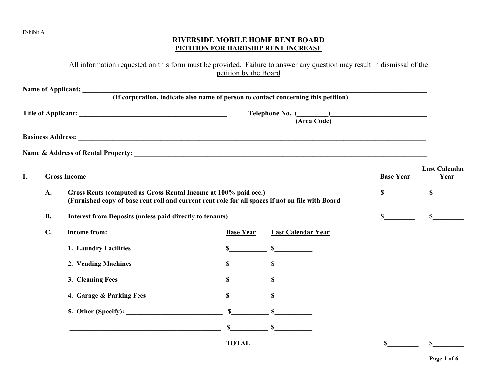#### Exhibit A

#### **RIVERSIDE MOBILE HOME RENT BOARD PETITION FOR HARDSHIP RENT INCREASE**

All information requested on this form must be provided. Failure to answer any question may result in dismissal of the petition by the Board

| Name of Applicant: (If corporation, indicate also name of person to contact concerning this petition)<br>(Area Code) |                                                                              |                                                                                                                                                                     |                  |                           |                           |                              |
|----------------------------------------------------------------------------------------------------------------------|------------------------------------------------------------------------------|---------------------------------------------------------------------------------------------------------------------------------------------------------------------|------------------|---------------------------|---------------------------|------------------------------|
|                                                                                                                      |                                                                              |                                                                                                                                                                     |                  |                           |                           |                              |
|                                                                                                                      |                                                                              |                                                                                                                                                                     |                  |                           |                           |                              |
| I.                                                                                                                   |                                                                              | <b>Gross Income</b>                                                                                                                                                 |                  |                           | <b>Base Year</b>          | <b>Last Calendar</b><br>Year |
|                                                                                                                      | A.                                                                           | Gross Rents (computed as Gross Rental Income at 100% paid occ.)<br>(Furnished copy of base rent roll and current rent role for all spaces if not on file with Board |                  |                           | \$                        |                              |
|                                                                                                                      | <b>B.</b><br><b>Interest from Deposits (unless paid directly to tenants)</b> |                                                                                                                                                                     |                  |                           |                           | $\sim$                       |
|                                                                                                                      | $\mathbf{C}$ .                                                               | <b>Income from:</b>                                                                                                                                                 | <b>Base Year</b> | <b>Last Calendar Year</b> |                           |                              |
|                                                                                                                      |                                                                              | 1. Laundry Facilities                                                                                                                                               | \$               | $\mathbb{S}$              |                           |                              |
|                                                                                                                      |                                                                              | 2. Vending Machines                                                                                                                                                 |                  | $\mathbb{S}$ $\mathbb{S}$ |                           |                              |
|                                                                                                                      |                                                                              | 3. Cleaning Fees                                                                                                                                                    |                  | $\sim$                    |                           |                              |
|                                                                                                                      |                                                                              | 4. Garage & Parking Fees                                                                                                                                            | \$               | $\sim$ $\sim$ $\sim$      |                           |                              |
|                                                                                                                      |                                                                              | 5. Other (Specify): $\qquad \qquad$                                                                                                                                 | $\mathbf S$      | $\mathbb S$               |                           |                              |
|                                                                                                                      |                                                                              |                                                                                                                                                                     |                  | $\mathbb{S}$ s            |                           |                              |
|                                                                                                                      |                                                                              |                                                                                                                                                                     | <b>TOTAL</b>     |                           | $\boldsymbol{\mathsf{S}}$ | \$                           |

**Page 1 of 6**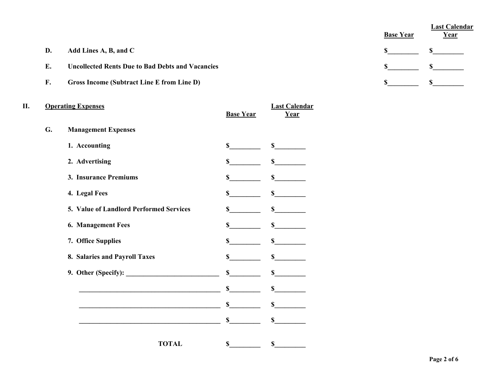|    |                                                         | <b>Base Year</b> | Last Calendar<br><u>Year</u> |
|----|---------------------------------------------------------|------------------|------------------------------|
| D. | Add Lines A, B, and C                                   |                  |                              |
| Е. | <b>Uncollected Rents Due to Bad Debts and Vacancies</b> |                  |                              |
| F. | Gross Income (Subtract Line E from Line D)              |                  |                              |

| Π. |    | <b>Operating Expenses</b>                                                                                                                                                                                                     | <b>Base Year</b> | <b>Last Calendar</b><br>Year |
|----|----|-------------------------------------------------------------------------------------------------------------------------------------------------------------------------------------------------------------------------------|------------------|------------------------------|
|    | G. | <b>Management Expenses</b>                                                                                                                                                                                                    |                  |                              |
|    |    | 1. Accounting                                                                                                                                                                                                                 | S —              | $\sim$                       |
|    |    | 2. Advertising                                                                                                                                                                                                                | \$               | $\mathbf S$                  |
|    |    | 3. Insurance Premiums                                                                                                                                                                                                         | \$               | \$                           |
|    |    | 4. Legal Fees                                                                                                                                                                                                                 | \$               | $\mathbb{S}$                 |
|    |    | 5. Value of Landlord Performed Services                                                                                                                                                                                       | $\mathbf S$      | $\int$                       |
|    |    | 6. Management Fees                                                                                                                                                                                                            | $\mathbf{s}$     | $\sim$                       |
|    |    | 7. Office Supplies                                                                                                                                                                                                            | S —              | $\mathbf S$                  |
|    |    | 8. Salaries and Payroll Taxes                                                                                                                                                                                                 | \$               | $\mathbb{S}$                 |
|    |    |                                                                                                                                                                                                                               | \$               | $\mathbb{S}$                 |
|    |    | <u> 1989 - Johann Barbara, martxa alemaniar a</u>                                                                                                                                                                             | $\mathbf S$      | $\mathbb{S}$                 |
|    |    | the control of the control of the control of the control of the control of the control of the control of the control of the control of the control of the control of the control of the control of the control of the control | $\mathbf{s}$     | $\sim$                       |
|    |    |                                                                                                                                                                                                                               | $\mathbb{S}$     | $\mathbb{S}$                 |
|    |    | <b>TOTAL</b>                                                                                                                                                                                                                  | \$               | \$                           |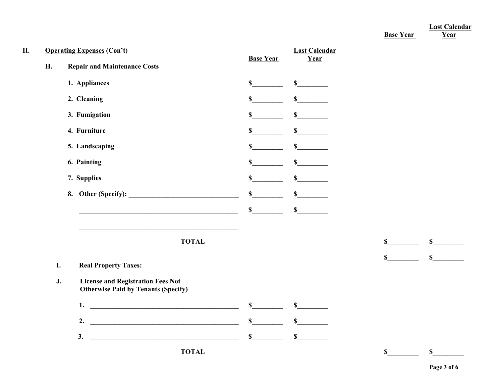**Last Calendar**

 **Base Year Year**

| Η. |    | <b>Operating Expenses (Con't)</b>                                                      |                  | <b>Last Calendar</b>                |                             |
|----|----|----------------------------------------------------------------------------------------|------------------|-------------------------------------|-----------------------------|
|    | H. | <b>Repair and Maintenance Costs</b>                                                    | <b>Base Year</b> | Year                                |                             |
|    |    | 1. Appliances                                                                          | $\sim$           | $\sim$                              |                             |
|    |    | 2. Cleaning                                                                            | \$               | s                                   |                             |
|    |    | 3. Fumigation                                                                          | $\sim$           | $\sim$                              |                             |
|    |    | 4. Furniture                                                                           | $\mathbb{S}$     | $\frac{\int f(x) dx}{\int f(x) dx}$ |                             |
|    |    | 5. Landscaping                                                                         | $\mathbf S$      | s                                   |                             |
|    |    | 6. Painting                                                                            | \$               | $\sim$                              |                             |
|    |    | 7. Supplies                                                                            | \$               | $\sim$                              |                             |
|    |    | 8. Other (Specify):                                                                    | $\sim$           | $\sim$                              |                             |
|    |    |                                                                                        | $\mathbf S$      | $\sim$                              |                             |
|    |    | <b>TOTAL</b>                                                                           |                  |                                     | s<br>$\mathbb{S}$           |
|    | I. | <b>Real Property Taxes:</b>                                                            |                  |                                     | $\mathbb{S}$<br>$\mathbf S$ |
|    | J. | <b>License and Registration Fees Not</b><br><b>Otherwise Paid by Tenants (Specify)</b> |                  |                                     |                             |
|    |    | 1. $\qquad \qquad$                                                                     | $\mathbb S$      | s                                   |                             |
|    |    | 2.                                                                                     | $\frac{\sim}{}$  | s                                   |                             |
|    |    | 3.                                                                                     | S                | $\mathbf S$                         |                             |
|    |    | <b>TOTAL</b>                                                                           |                  |                                     | \$<br>$\mathbf S$           |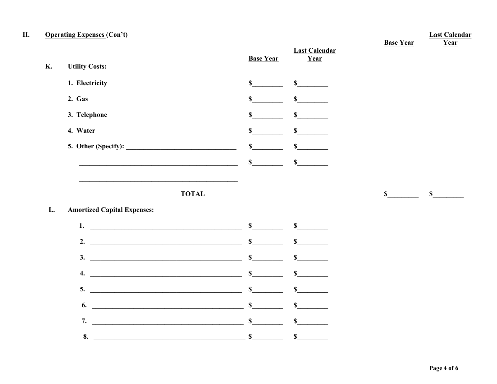#### II. **Operating Expenses (Con't)**

**K.** 

 $\mathbf{L}$ .

| <b>Utility Costs:</b>                                                                                                                                                                                                                                                                                                  | <b>Base Year</b>                    | <b>Last Calendar</b><br>Year | <b>Base Year</b> | Year         |
|------------------------------------------------------------------------------------------------------------------------------------------------------------------------------------------------------------------------------------------------------------------------------------------------------------------------|-------------------------------------|------------------------------|------------------|--------------|
| 1. Electricity                                                                                                                                                                                                                                                                                                         | $\mathbb{S}$                        | $\sim$                       |                  |              |
| 2. Gas                                                                                                                                                                                                                                                                                                                 | $\mathbf S$                         | $\mathbf S$                  |                  |              |
| 3. Telephone                                                                                                                                                                                                                                                                                                           | \$                                  | $\mathbf S$                  |                  |              |
| 4. Water                                                                                                                                                                                                                                                                                                               | $\mathbb{S}$                        | $\mathbf S$                  |                  |              |
|                                                                                                                                                                                                                                                                                                                        | $\sim$                              | $\mathbb{S}$                 |                  |              |
|                                                                                                                                                                                                                                                                                                                        | $\sim$                              | $\mathbf S$                  |                  |              |
| <b>TOTAL</b><br><b>Amortized Capital Expenses:</b>                                                                                                                                                                                                                                                                     |                                     |                              | $\mathbb{S}$     | $\mathbb{S}$ |
|                                                                                                                                                                                                                                                                                                                        |                                     | s                            |                  |              |
|                                                                                                                                                                                                                                                                                                                        |                                     | $\sim$                       |                  |              |
|                                                                                                                                                                                                                                                                                                                        | $\sim$                              | $\sim$                       |                  |              |
|                                                                                                                                                                                                                                                                                                                        | $\sim$                              | $\sim$                       |                  |              |
| $5.$ $\frac{1}{2}$ $\frac{1}{2}$ $\frac{1}{2}$ $\frac{1}{2}$ $\frac{1}{2}$ $\frac{1}{2}$ $\frac{1}{2}$ $\frac{1}{2}$ $\frac{1}{2}$ $\frac{1}{2}$ $\frac{1}{2}$ $\frac{1}{2}$ $\frac{1}{2}$ $\frac{1}{2}$ $\frac{1}{2}$ $\frac{1}{2}$ $\frac{1}{2}$ $\frac{1}{2}$ $\frac{1}{2}$ $\frac{1}{2}$ $\frac{1}{2}$ $\frac{1}{$ | $\sim$                              | $\mathbf S$                  |                  |              |
| 6.                                                                                                                                                                                                                                                                                                                     | $\frac{\int f(x) dx}{\int f(x) dx}$ | $\mathbf S$                  |                  |              |
| 7.<br><u> 1989 - Johann Barbara, martin amerikan basal da</u>                                                                                                                                                                                                                                                          | $\sim$                              | $\mathbf S$                  |                  |              |
| 8.                                                                                                                                                                                                                                                                                                                     | $\mathbf S$                         | $\mathbf S$                  |                  |              |

**Last Calendar**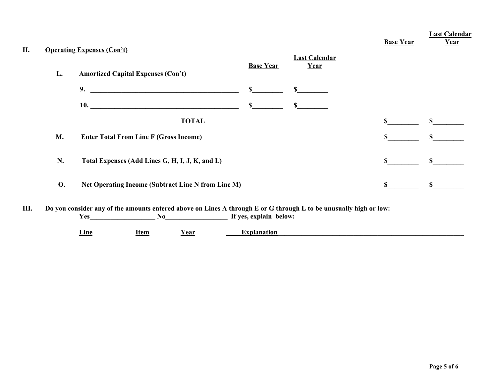| П. | <b>Operating Expenses (Con't)</b> |                                                                                                                                                                                                                                     |                        |                              | <b>Base Year</b> | <b>Last Calendar</b><br>Year |
|----|-----------------------------------|-------------------------------------------------------------------------------------------------------------------------------------------------------------------------------------------------------------------------------------|------------------------|------------------------------|------------------|------------------------------|
|    | L.                                | <b>Amortized Capital Expenses (Con't)</b>                                                                                                                                                                                           | <b>Base Year</b>       | <b>Last Calendar</b><br>Year |                  |                              |
|    |                                   | 9.                                                                                                                                                                                                                                  | \$                     | S.                           |                  |                              |
|    |                                   | <b>10.</b> The contract of the contract of the contract of the contract of the contract of the contract of the contract of the contract of the contract of the contract of the contract of the contract of the contract of the cont | \$                     | $\mathbb{S}$                 |                  |                              |
|    |                                   | <b>TOTAL</b>                                                                                                                                                                                                                        |                        |                              | S                | \$                           |
|    | M.                                | <b>Enter Total From Line F (Gross Income)</b>                                                                                                                                                                                       |                        |                              |                  | \$                           |
|    | N.                                | Total Expenses (Add Lines G, H, I, J, K, and L)                                                                                                                                                                                     |                        |                              | \$.              | $\mathbf S$                  |
|    | <b>O.</b>                         | Net Operating Income (Subtract Line N from Line M)                                                                                                                                                                                  |                        |                              | \$               | $\mathbf S$                  |
| Ш. |                                   | Do you consider any of the amounts entered above on Lines A through E or G through L to be unusually high or low:<br><b>Yes</b><br>No                                                                                               | If yes, explain below: |                              |                  |                              |

**Line Item Year Explanation Item Item**